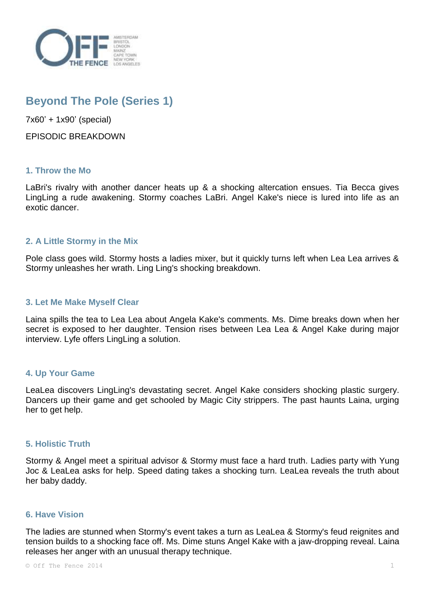

# **Beyond The Pole (Series 1)**

7x60' + 1x90' (special)

EPISODIC BREAKDOWN

## **1. Throw the Mo**

LaBri's rivalry with another dancer heats up & a shocking altercation ensues. Tia Becca gives LingLing a rude awakening. Stormy coaches LaBri. Angel Kake's niece is lured into life as an exotic dancer.

## **2. A Little Stormy in the Mix**

Pole class goes wild. Stormy hosts a ladies mixer, but it quickly turns left when Lea Lea arrives & Stormy unleashes her wrath. Ling Ling's shocking breakdown.

#### **3. Let Me Make Myself Clear**

Laina spills the tea to Lea Lea about Angela Kake's comments. Ms. Dime breaks down when her secret is exposed to her daughter. Tension rises between Lea Lea & Angel Kake during major interview. Lyfe offers LingLing a solution.

#### **4. Up Your Game**

LeaLea discovers LingLing's devastating secret. Angel Kake considers shocking plastic surgery. Dancers up their game and get schooled by Magic City strippers. The past haunts Laina, urging her to get help.

#### **5. Holistic Truth**

Stormy & Angel meet a spiritual advisor & Stormy must face a hard truth. Ladies party with Yung Joc & LeaLea asks for help. Speed dating takes a shocking turn. LeaLea reveals the truth about her baby daddy.

#### **6. Have Vision**

The ladies are stunned when Stormy's event takes a turn as LeaLea & Stormy's feud reignites and tension builds to a shocking face off. Ms. Dime stuns Angel Kake with a jaw-dropping reveal. Laina releases her anger with an unusual therapy technique.